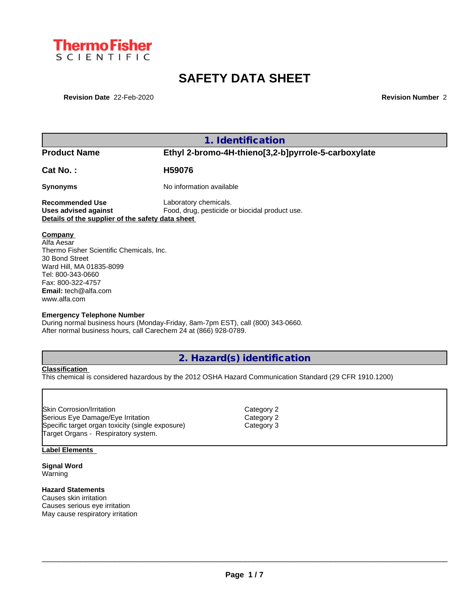

# **SAFETY DATA SHEET**

**Revision Date** 22-Feb-2020 **Revision Number** 2

|                                                  | 1. Identification                                   |
|--------------------------------------------------|-----------------------------------------------------|
| <b>Product Name</b>                              | Ethyl 2-bromo-4H-thieno[3,2-b]pyrrole-5-carboxylate |
| Cat No.:                                         | H59076                                              |
| <b>Synonyms</b>                                  | No information available                            |
| <b>Recommended Use</b>                           | Laboratory chemicals.                               |
| Uses advised against                             | Food, drug, pesticide or biocidal product use.      |
| Details of the supplier of the safety data sheet |                                                     |
|                                                  |                                                     |
| Company<br>Alfa Aesar                            |                                                     |
| Thermo Fisher Scientific Chemicals, Inc.         |                                                     |
| 30 Bond Street                                   |                                                     |
| Ward Hill, MA 01835-8099                         |                                                     |
| Tel: 800-343-0660                                |                                                     |
| Fax: 800-322-4757                                |                                                     |
| <b>Email:</b> tech@alfa.com                      |                                                     |

#### **Emergency Telephone Number**

During normal business hours (Monday-Friday, 8am-7pm EST), call (800) 343-0660. After normal business hours, call Carechem 24 at (866) 928-0789.

**2. Hazard(s) identification**

## **Classification**

www.alfa.com

This chemical is considered hazardous by the 2012 OSHA Hazard Communication Standard (29 CFR 1910.1200)

## **Label Elements**

**Signal Word** Warning

## **Hazard Statements**

Causes skin irritation Causes serious eye irritation May cause respiratory irritation Category 2 Category 2 Category 3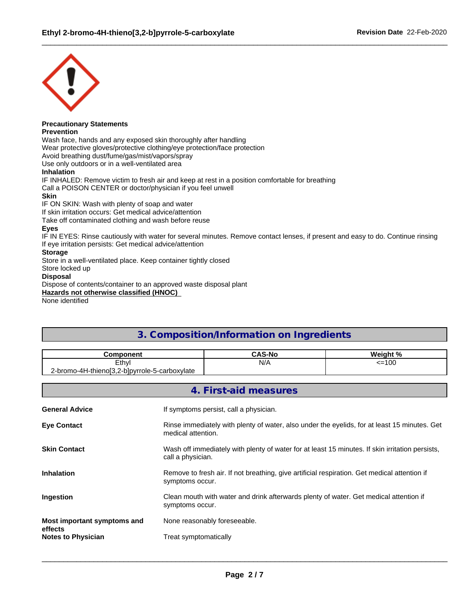

# **Precautionary Statements**

## **Prevention**

Wash face, hands and any exposed skin thoroughly after handling Wear protective gloves/protective clothing/eye protection/face protection Avoid breathing dust/fume/gas/mist/vapors/spray Use only outdoors or in a well-ventilated area **Inhalation** IF INHALED: Remove victim to fresh air and keep at rest in a position comfortable for breathing Call a POISON CENTER or doctor/physician if you feel unwell **Skin** IF ON SKIN: Wash with plenty of soap and water If skin irritation occurs: Get medical advice/attention Take off contaminated clothing and wash before reuse **Eyes** IF IN EYES: Rinse cautiously with water for several minutes. Remove contact lenses, if present and easy to do. Continue rinsing If eye irritation persists: Get medical advice/attention **Storage**

Store in a well-ventilated place. Keep container tightly closed

Store locked up

## **Disposal**

Dispose of contents/container to an approved waste disposal plant **Hazards not otherwise classified (HNOC)**

None identified

# **3. Composition/Information on Ingredients**

| .omnoner                                                | CAS-No | . n<br>Weigh. |
|---------------------------------------------------------|--------|---------------|
| Ethyl                                                   | N/A    | <=100         |
| 2-bromo-4H-thienol3.2-h<br>-blpyrrole-<br>5-carboxvlate |        |               |

|                                      | 4. First-aid measures                                                                                                |
|--------------------------------------|----------------------------------------------------------------------------------------------------------------------|
| <b>General Advice</b>                | If symptoms persist, call a physician.                                                                               |
| <b>Eye Contact</b>                   | Rinse immediately with plenty of water, also under the eyelids, for at least 15 minutes. Get<br>medical attention.   |
| <b>Skin Contact</b>                  | Wash off immediately with plenty of water for at least 15 minutes. If skin irritation persists,<br>call a physician. |
| Inhalation                           | Remove to fresh air. If not breathing, give artificial respiration. Get medical attention if<br>symptoms occur.      |
| Ingestion                            | Clean mouth with water and drink afterwards plenty of water. Get medical attention if<br>symptoms occur.             |
| Most important symptoms and          | None reasonably foreseeable.                                                                                         |
| effects<br><b>Notes to Physician</b> | Treat symptomatically                                                                                                |
|                                      |                                                                                                                      |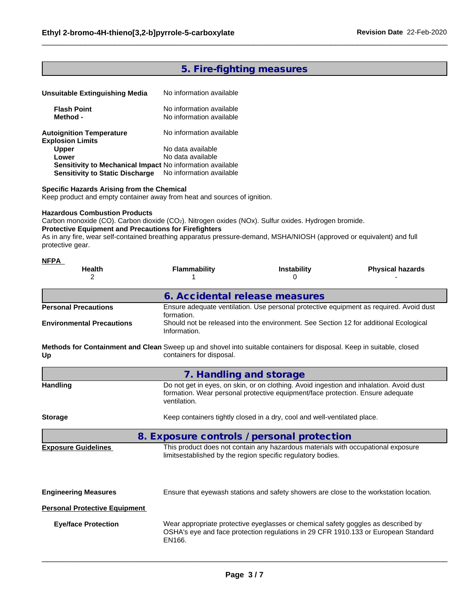# **5. Fire-fighting measures**

| Unsuitable Extinguishing Media                             | No information available                             |  |
|------------------------------------------------------------|------------------------------------------------------|--|
| <b>Flash Point</b><br>Method -                             | No information available<br>No information available |  |
| <b>Autoignition Temperature</b><br><b>Explosion Limits</b> | No information available                             |  |
| <b>Upper</b>                                               | No data available                                    |  |
| Lower                                                      | No data available                                    |  |
| Sensitivity to Mechanical Impact No information available  |                                                      |  |
| <b>Sensitivity to Static Discharge</b>                     | No information available                             |  |

## **Specific Hazards Arising from the Chemical**

Keep product and empty container away from heat and sources of ignition.

## **Hazardous Combustion Products**

Carbon monoxide (CO). Carbon dioxide (CO2). Nitrogen oxides (NOx). Sulfur oxides. Hydrogen bromide. **Protective Equipment and Precautions for Firefighters**

As in any fire, wear self-contained breathing apparatus pressure-demand, MSHA/NIOSH (approved or equivalent) and full protective gear.

| <b>NFPA</b>                                                                                                                 |                                                                                                       |                                                                                                                                                                           |                         |  |  |  |  |
|-----------------------------------------------------------------------------------------------------------------------------|-------------------------------------------------------------------------------------------------------|---------------------------------------------------------------------------------------------------------------------------------------------------------------------------|-------------------------|--|--|--|--|
| <b>Health</b><br>2                                                                                                          | Flammability                                                                                          | <b>Instability</b>                                                                                                                                                        | <b>Physical hazards</b> |  |  |  |  |
|                                                                                                                             | 6. Accidental release measures                                                                        |                                                                                                                                                                           |                         |  |  |  |  |
| <b>Personal Precautions</b>                                                                                                 | formation.                                                                                            | Ensure adequate ventilation. Use personal protective equipment as required. Avoid dust                                                                                    |                         |  |  |  |  |
| <b>Environmental Precautions</b>                                                                                            | Should not be released into the environment. See Section 12 for additional Ecological<br>Information. |                                                                                                                                                                           |                         |  |  |  |  |
| Methods for Containment and Clean Sweep up and shovel into suitable containers for disposal. Keep in suitable, closed<br>Up | containers for disposal.                                                                              |                                                                                                                                                                           |                         |  |  |  |  |
|                                                                                                                             | 7. Handling and storage                                                                               |                                                                                                                                                                           |                         |  |  |  |  |
| <b>Handling</b>                                                                                                             | ventilation.                                                                                          | Do not get in eyes, on skin, or on clothing. Avoid ingestion and inhalation. Avoid dust<br>formation. Wear personal protective equipment/face protection. Ensure adequate |                         |  |  |  |  |

# **Storage** Keep containers tightly closed in a dry, cool and well-ventilated place.

**8. Exposure controls / personal protection Exposure Guidelines** This product does not contain any hazardous materials with occupational exposure

limitsestablished by the region specific regulatory bodies.

| <b>Engineering Measures</b>          | Ensure that eyewash stations and safety showers are close to the workstation location.                                                                                            |
|--------------------------------------|-----------------------------------------------------------------------------------------------------------------------------------------------------------------------------------|
| <b>Personal Protective Equipment</b> |                                                                                                                                                                                   |
| <b>Eye/face Protection</b>           | Wear appropriate protective eyeglasses or chemical safety goggles as described by<br>OSHA's eye and face protection regulations in 29 CFR 1910.133 or European Standard<br>EN166. |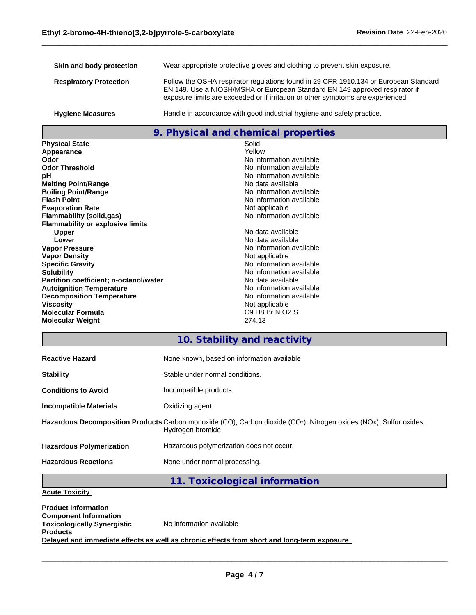| Skin and body protection      | Wear appropriate protective gloves and clothing to prevent skin exposure.                                                                                                                                                                               |
|-------------------------------|---------------------------------------------------------------------------------------------------------------------------------------------------------------------------------------------------------------------------------------------------------|
| <b>Respiratory Protection</b> | Follow the OSHA respirator regulations found in 29 CFR 1910.134 or European Standard<br>EN 149. Use a NIOSH/MSHA or European Standard EN 149 approved respirator if<br>exposure limits are exceeded or if irritation or other symptoms are experienced. |
| <b>Hygiene Measures</b>       | Handle in accordance with good industrial hygiene and safety practice.                                                                                                                                                                                  |

# **9. Physical and chemical properties**

| <b>Physical State</b>                         | Solid                    |
|-----------------------------------------------|--------------------------|
| Appearance                                    | Yellow                   |
| Odor                                          | No information available |
| <b>Odor Threshold</b>                         | No information available |
| рH                                            | No information available |
| <b>Melting Point/Range</b>                    | No data available        |
| <b>Boiling Point/Range</b>                    | No information available |
| <b>Flash Point</b>                            | No information available |
| <b>Evaporation Rate</b>                       | Not applicable           |
| Flammability (solid,gas)                      | No information available |
| <b>Flammability or explosive limits</b>       |                          |
| <b>Upper</b>                                  | No data available        |
| Lower                                         | No data available        |
| <b>Vapor Pressure</b>                         | No information available |
| <b>Vapor Density</b>                          | Not applicable           |
| <b>Specific Gravity</b>                       | No information available |
| <b>Solubility</b>                             | No information available |
| <b>Partition coefficient; n-octanol/water</b> | No data available        |
| <b>Autoignition Temperature</b>               | No information available |
| <b>Decomposition Temperature</b>              | No information available |
| <b>Viscosity</b>                              | Not applicable           |
| <b>Molecular Formula</b>                      | C9 H8 Br N O2 S          |
| <b>Molecular Weight</b>                       | 274.13                   |

## **10. Stability and reactivity**

| <b>Reactive Hazard</b>          | None known, based on information available                                                                                             |
|---------------------------------|----------------------------------------------------------------------------------------------------------------------------------------|
| <b>Stability</b>                | Stable under normal conditions.                                                                                                        |
| <b>Conditions to Avoid</b>      | Incompatible products.                                                                                                                 |
| <b>Incompatible Materials</b>   | Oxidizing agent                                                                                                                        |
|                                 | Hazardous Decomposition Products Carbon monoxide (CO), Carbon dioxide (CO2), Nitrogen oxides (NOx), Sulfur oxides,<br>Hydrogen bromide |
| <b>Hazardous Polymerization</b> | Hazardous polymerization does not occur.                                                                                               |
| <b>Hazardous Reactions</b>      | None under normal processing.                                                                                                          |

## **11. Toxicological information**

## **Acute Toxicity**

**Product Information Component Information Toxicologically Synergistic Products** No information available **Delayed and immediate effects as well as chronic effects from short and long-term exposure**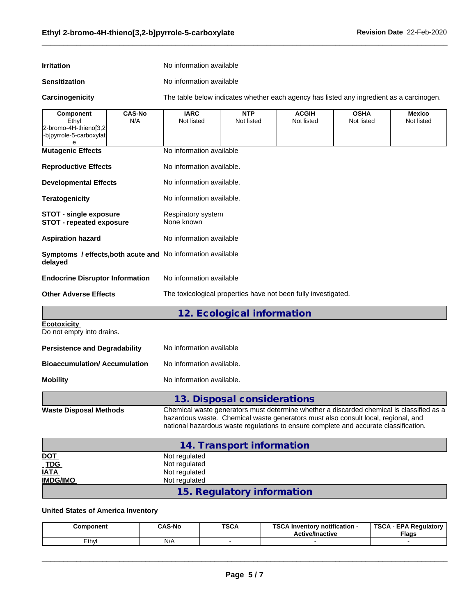#### **Irritation** No information available

**Sensitization** No information available

**Carcinogenicity** The table below indicateswhether each agency has listed any ingredient as a carcinogen.

| Component                                                                                     | <b>CAS-No</b> | <b>IARC</b>                                                                                                                                                                                                                                                           | <b>NTP</b>                  | <b>ACGIH</b>                                                   | <b>OSHA</b> | <b>Mexico</b> |  |  |  |
|-----------------------------------------------------------------------------------------------|---------------|-----------------------------------------------------------------------------------------------------------------------------------------------------------------------------------------------------------------------------------------------------------------------|-----------------------------|----------------------------------------------------------------|-------------|---------------|--|--|--|
| Ethyl<br>2-bromo-4H-thieno[3,2<br>-b]pyrrole-5-carboxylat                                     | N/A           | Not listed                                                                                                                                                                                                                                                            | Not listed                  | Not listed                                                     | Not listed  | Not listed    |  |  |  |
| e                                                                                             |               |                                                                                                                                                                                                                                                                       |                             |                                                                |             |               |  |  |  |
| <b>Mutagenic Effects</b>                                                                      |               | No information available                                                                                                                                                                                                                                              |                             |                                                                |             |               |  |  |  |
| <b>Reproductive Effects</b>                                                                   |               | No information available.                                                                                                                                                                                                                                             |                             |                                                                |             |               |  |  |  |
| No information available.<br><b>Developmental Effects</b>                                     |               |                                                                                                                                                                                                                                                                       |                             |                                                                |             |               |  |  |  |
| <b>Teratogenicity</b>                                                                         |               | No information available.                                                                                                                                                                                                                                             |                             |                                                                |             |               |  |  |  |
| <b>STOT - single exposure</b><br>Respiratory system<br>STOT - repeated exposure<br>None known |               |                                                                                                                                                                                                                                                                       |                             |                                                                |             |               |  |  |  |
| <b>Aspiration hazard</b>                                                                      |               | No information available                                                                                                                                                                                                                                              |                             |                                                                |             |               |  |  |  |
| Symptoms / effects, both acute and No information available<br>delayed                        |               |                                                                                                                                                                                                                                                                       |                             |                                                                |             |               |  |  |  |
| <b>Endocrine Disruptor Information</b>                                                        |               |                                                                                                                                                                                                                                                                       | No information available    |                                                                |             |               |  |  |  |
| <b>Other Adverse Effects</b>                                                                  |               |                                                                                                                                                                                                                                                                       |                             | The toxicological properties have not been fully investigated. |             |               |  |  |  |
|                                                                                               |               |                                                                                                                                                                                                                                                                       | 12. Ecological information  |                                                                |             |               |  |  |  |
| <b>Ecotoxicity</b><br>Do not empty into drains.                                               |               |                                                                                                                                                                                                                                                                       |                             |                                                                |             |               |  |  |  |
| <b>Persistence and Degradability</b>                                                          |               |                                                                                                                                                                                                                                                                       | No information available    |                                                                |             |               |  |  |  |
| <b>Bioaccumulation/Accumulation</b>                                                           |               | No information available.                                                                                                                                                                                                                                             |                             |                                                                |             |               |  |  |  |
| <b>Mobility</b>                                                                               |               | No information available.                                                                                                                                                                                                                                             |                             |                                                                |             |               |  |  |  |
|                                                                                               |               |                                                                                                                                                                                                                                                                       | 13. Disposal considerations |                                                                |             |               |  |  |  |
| <b>Waste Disposal Methods</b>                                                                 |               | Chemical waste generators must determine whether a discarded chemical is classified as a<br>hazardous waste. Chemical waste generators must also consult local, regional, and<br>national hazardous waste regulations to ensure complete and accurate classification. |                             |                                                                |             |               |  |  |  |
|                                                                                               |               |                                                                                                                                                                                                                                                                       | 14. Transport information   |                                                                |             |               |  |  |  |
| <u>DOT</u>                                                                                    |               | Not regulated                                                                                                                                                                                                                                                         |                             |                                                                |             |               |  |  |  |
| <b>TDG</b>                                                                                    |               | Not regulated                                                                                                                                                                                                                                                         |                             |                                                                |             |               |  |  |  |
| IATA<br>IMDG/IMO                                                                              |               | Not regulated<br>Not regulated                                                                                                                                                                                                                                        |                             |                                                                |             |               |  |  |  |
|                                                                                               |               |                                                                                                                                                                                                                                                                       |                             |                                                                |             |               |  |  |  |
|                                                                                               |               |                                                                                                                                                                                                                                                                       | 15. Regulatory information  |                                                                |             |               |  |  |  |

## **United States of America Inventory**

| Component | <b>CAS-No</b> | <b>TSCA</b> | TOO ALL<br><br>- Inventorv notification ا<br><b>Active/Inactive</b> | <b>TSCA</b><br><b>EPA Regulatory</b><br><b>Flags</b> |
|-----------|---------------|-------------|---------------------------------------------------------------------|------------------------------------------------------|
| ∟thv      | N/A           |             |                                                                     |                                                      |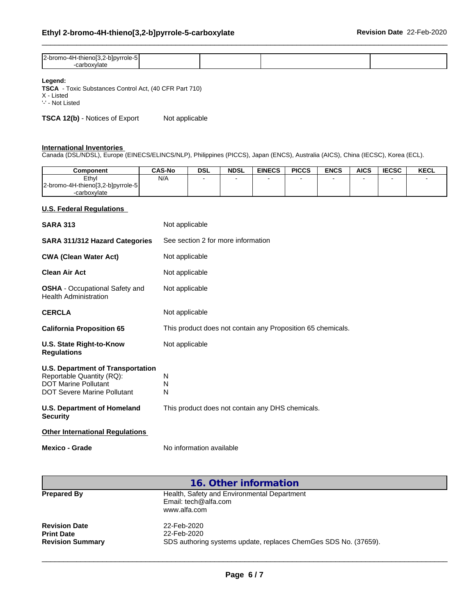| $\sim$<br>ole-<br>⊣ור<br>$\cdot$<br>.<br>$\sim$ $\sim$ |  |  |
|--------------------------------------------------------|--|--|
|                                                        |  |  |

### **Legend:**

**TSCA** - Toxic Substances Control Act, (40 CFR Part 710) X - Listed

'-' - Not Listed

**TSCA 12(b)** - Notices of Export Not applicable

#### **International Inventories**

Canada (DSL/NDSL), Europe (EINECS/ELINCS/NLP), Philippines (PICCS), Japan (ENCS), Australia (AICS), China (IECSC), Korea (ECL).

| Component                         | <b>CAS-No</b> | <b>DSL</b> | <b>NDSL</b> | <b>EINECS</b> | <b>PICCS</b> | <b>ENCS</b> | <b>AICS</b> | <b>IECSC</b> | <b>KECL</b> |
|-----------------------------------|---------------|------------|-------------|---------------|--------------|-------------|-------------|--------------|-------------|
| Ethyl                             | N/A           |            |             |               |              |             |             |              |             |
| 2-bromo-4H-thieno[3,2-b]pyrrole-5 |               |            |             |               |              |             |             |              |             |
| -carboxvlate                      |               |            |             |               |              |             |             |              |             |

## **U.S. Federal Regulations**

| <b>SARA 313</b>                                                                                                                                                           | Not applicable                                                  |
|---------------------------------------------------------------------------------------------------------------------------------------------------------------------------|-----------------------------------------------------------------|
| <b>SARA 311/312 Hazard Categories</b>                                                                                                                                     | See section 2 for more information                              |
| <b>CWA (Clean Water Act)</b>                                                                                                                                              | Not applicable                                                  |
| <b>Clean Air Act</b>                                                                                                                                                      | Not applicable                                                  |
| <b>OSHA</b> - Occupational Safety and<br><b>Health Administration</b>                                                                                                     | Not applicable                                                  |
| <b>CERCLA</b>                                                                                                                                                             | Not applicable                                                  |
| <b>California Proposition 65</b>                                                                                                                                          | This product does not contain any Proposition 65 chemicals.     |
| U.S. State Right-to-Know<br><b>Regulations</b>                                                                                                                            | Not applicable                                                  |
| <b>U.S. Department of Transportation</b><br>Reportable Quantity (RQ):<br><b>DOT Marine Pollutant</b><br><b>DOT Severe Marine Pollutant</b><br>U.S. Department of Homeland | N<br>N<br>N<br>This product does not contain any DHS chemicals. |
| <b>Security</b>                                                                                                                                                           |                                                                 |
| <b>Other International Regulations</b>                                                                                                                                    |                                                                 |
| Mexico - Grade                                                                                                                                                            | No information available                                        |

|                                                                      | 16. Other information                                                                         |
|----------------------------------------------------------------------|-----------------------------------------------------------------------------------------------|
| <b>Prepared By</b>                                                   | Health, Safety and Environmental Department<br>Email: tech@alfa.com<br>www.alfa.com           |
| <b>Revision Date</b><br><b>Print Date</b><br><b>Revision Summary</b> | 22-Feb-2020<br>22-Feb-2020<br>SDS authoring systems update, replaces ChemGes SDS No. (37659). |